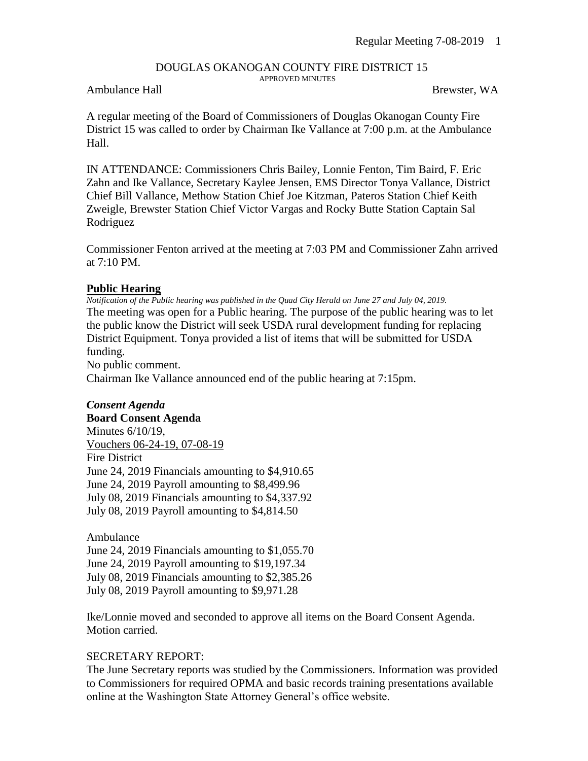# DOUGLAS OKANOGAN COUNTY FIRE DISTRICT 15

APPROVED MINUTES

### Ambulance Hall Brewster, WA

A regular meeting of the Board of Commissioners of Douglas Okanogan County Fire District 15 was called to order by Chairman Ike Vallance at 7:00 p.m. at the Ambulance Hall.

IN ATTENDANCE: Commissioners Chris Bailey, Lonnie Fenton, Tim Baird, F. Eric Zahn and Ike Vallance, Secretary Kaylee Jensen, EMS Director Tonya Vallance, District Chief Bill Vallance, Methow Station Chief Joe Kitzman, Pateros Station Chief Keith Zweigle, Brewster Station Chief Victor Vargas and Rocky Butte Station Captain Sal Rodriguez

Commissioner Fenton arrived at the meeting at 7:03 PM and Commissioner Zahn arrived at 7:10 PM.

### **Public Hearing**

*Notification of the Public hearing was published in the Quad City Herald on June 27 and July 04, 2019.* The meeting was open for a Public hearing. The purpose of the public hearing was to let the public know the District will seek USDA rural development funding for replacing District Equipment. Tonya provided a list of items that will be submitted for USDA funding.

No public comment.

Chairman Ike Vallance announced end of the public hearing at 7:15pm.

# *Consent Agenda*

**Board Consent Agenda** Minutes 6/10/19, Vouchers 06-24-19, 07-08-19 Fire District June 24, 2019 Financials amounting to \$4,910.65 June 24, 2019 Payroll amounting to \$8,499.96 July 08, 2019 Financials amounting to \$4,337.92 July 08, 2019 Payroll amounting to \$4,814.50

Ambulance

June 24, 2019 Financials amounting to \$1,055.70 June 24, 2019 Payroll amounting to \$19,197.34 July 08, 2019 Financials amounting to \$2,385.26 July 08, 2019 Payroll amounting to \$9,971.28

Ike/Lonnie moved and seconded to approve all items on the Board Consent Agenda. Motion carried.

## SECRETARY REPORT:

The June Secretary reports was studied by the Commissioners. Information was provided to Commissioners for required OPMA and basic records training presentations available online at the Washington State Attorney General's office website.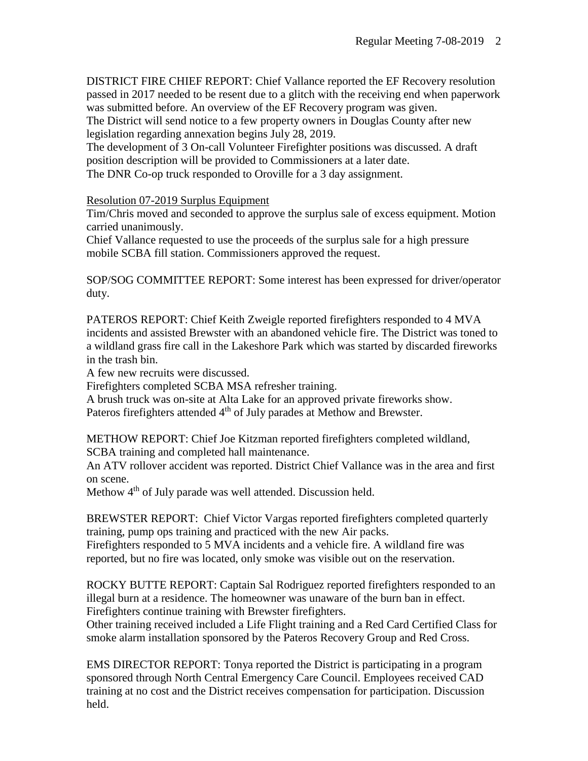DISTRICT FIRE CHIEF REPORT: Chief Vallance reported the EF Recovery resolution passed in 2017 needed to be resent due to a glitch with the receiving end when paperwork was submitted before. An overview of the EF Recovery program was given.

The District will send notice to a few property owners in Douglas County after new legislation regarding annexation begins July 28, 2019.

The development of 3 On-call Volunteer Firefighter positions was discussed. A draft position description will be provided to Commissioners at a later date. The DNR Co-op truck responded to Oroville for a 3 day assignment.

## Resolution 07-2019 Surplus Equipment

Tim/Chris moved and seconded to approve the surplus sale of excess equipment. Motion carried unanimously.

Chief Vallance requested to use the proceeds of the surplus sale for a high pressure mobile SCBA fill station. Commissioners approved the request.

SOP/SOG COMMITTEE REPORT: Some interest has been expressed for driver/operator duty.

PATEROS REPORT: Chief Keith Zweigle reported firefighters responded to 4 MVA incidents and assisted Brewster with an abandoned vehicle fire. The District was toned to a wildland grass fire call in the Lakeshore Park which was started by discarded fireworks in the trash bin.

A few new recruits were discussed.

Firefighters completed SCBA MSA refresher training.

A brush truck was on-site at Alta Lake for an approved private fireworks show. Pateros firefighters attended 4<sup>th</sup> of July parades at Methow and Brewster.

METHOW REPORT: Chief Joe Kitzman reported firefighters completed wildland, SCBA training and completed hall maintenance.

An ATV rollover accident was reported. District Chief Vallance was in the area and first on scene.

Methow 4<sup>th</sup> of July parade was well attended. Discussion held.

BREWSTER REPORT: Chief Victor Vargas reported firefighters completed quarterly training, pump ops training and practiced with the new Air packs.

Firefighters responded to 5 MVA incidents and a vehicle fire. A wildland fire was reported, but no fire was located, only smoke was visible out on the reservation.

ROCKY BUTTE REPORT: Captain Sal Rodriguez reported firefighters responded to an illegal burn at a residence. The homeowner was unaware of the burn ban in effect. Firefighters continue training with Brewster firefighters.

Other training received included a Life Flight training and a Red Card Certified Class for smoke alarm installation sponsored by the Pateros Recovery Group and Red Cross.

EMS DIRECTOR REPORT: Tonya reported the District is participating in a program sponsored through North Central Emergency Care Council. Employees received CAD training at no cost and the District receives compensation for participation. Discussion held.